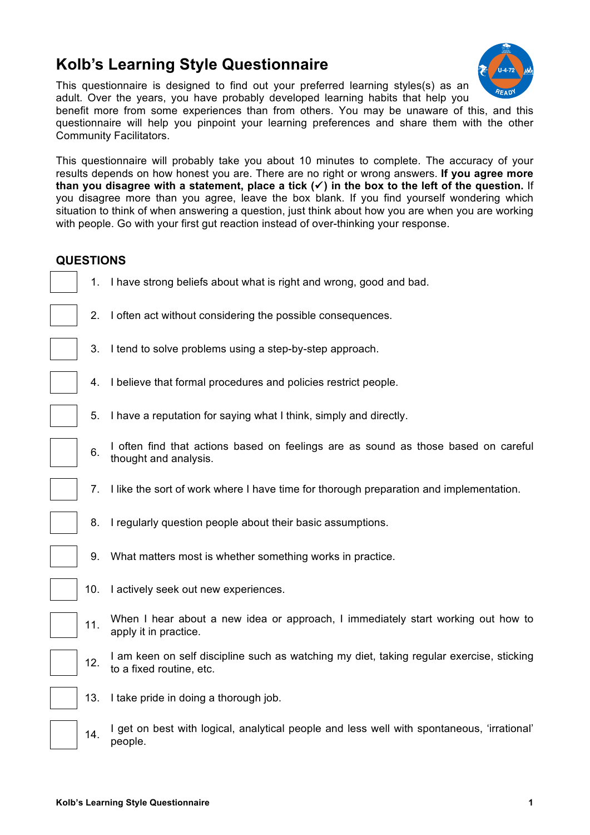## **Kolb's Learning Style Questionnaire**

This questionnaire is designed to find out your preferred learning styles(s) as an adult. Over the years, you have probably developed learning habits that help you

benefit more from some experiences than from others. You may be unaware of this, and this questionnaire will help you pinpoint your learning preferences and share them with the other Community Facilitators.

This questionnaire will probably take you about 10 minutes to complete. The accuracy of your results depends on how honest you are. There are no right or wrong answers. **If you agree more**  than you disagree with a statement, place a tick  $(\checkmark)$  in the box to the left of the question. If you disagree more than you agree, leave the box blank. If you find yourself wondering which situation to think of when answering a question, just think about how you are when you are working with people. Go with your first gut reaction instead of over-thinking your response.

## **QUESTIONS**

- 1. I have strong beliefs about what is right and wrong, good and bad.
- 2. I often act without considering the possible consequences.
- 3. I tend to solve problems using a step-by-step approach.
- 4. I believe that formal procedures and policies restrict people.
- 5. I have a reputation for saying what I think, simply and directly.
- 6. I often find that actions based on feelings are as sound as those based on careful<br>6. there is an exclusive thought and analysis.
- 7. I like the sort of work where I have time for thorough preparation and implementation.
- 8. I regularly question people about their basic assumptions.
- 9. What matters most is whether something works in practice.
- 10. I actively seek out new experiences.
- 11. When I hear about a new idea or approach, I immediately start working out how to apply it in practice.
- 12. I am keen on self discipline such as watching my diet, taking regular exercise, sticking to a fixed routine, etc.
- 13. I take pride in doing a thorough job.
- 14. I get on best with logical, analytical people and less well with spontaneous, 'irrational' people.

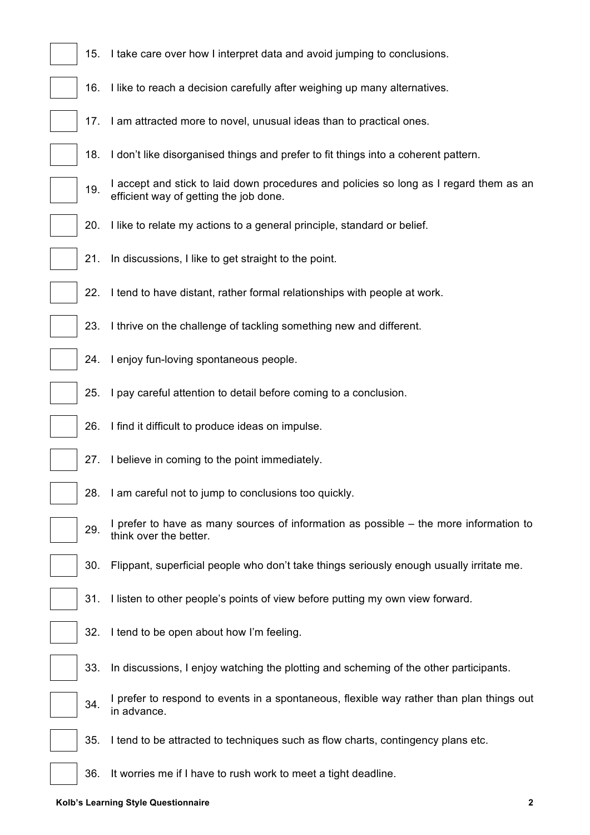| 15. | I take care over how I interpret data and avoid jumping to conclusions.                                                          |
|-----|----------------------------------------------------------------------------------------------------------------------------------|
|     |                                                                                                                                  |
| 16. | I like to reach a decision carefully after weighing up many alternatives.                                                        |
|     | 17. I am attracted more to novel, unusual ideas than to practical ones.                                                          |
| 18. | I don't like disorganised things and prefer to fit things into a coherent pattern.                                               |
| 19. | I accept and stick to laid down procedures and policies so long as I regard them as an<br>efficient way of getting the job done. |
| 20. | I like to relate my actions to a general principle, standard or belief.                                                          |
| 21. | In discussions, I like to get straight to the point.                                                                             |
| 22. | I tend to have distant, rather formal relationships with people at work.                                                         |
| 23. | I thrive on the challenge of tackling something new and different.                                                               |
| 24. | I enjoy fun-loving spontaneous people.                                                                                           |
| 25. | I pay careful attention to detail before coming to a conclusion.                                                                 |
| 26. | I find it difficult to produce ideas on impulse.                                                                                 |
| 27. | I believe in coming to the point immediately.                                                                                    |
| 28. | I am careful not to jump to conclusions too quickly.                                                                             |
| 29. | I prefer to have as many sources of information as possible - the more information to<br>think over the better.                  |
| 30. | Flippant, superficial people who don't take things seriously enough usually irritate me.                                         |
| 31. | I listen to other people's points of view before putting my own view forward.                                                    |
| 32. | I tend to be open about how I'm feeling.                                                                                         |
| 33. | In discussions, I enjoy watching the plotting and scheming of the other participants.                                            |
| 34. | I prefer to respond to events in a spontaneous, flexible way rather than plan things out<br>in advance.                          |
| 35. | I tend to be attracted to techniques such as flow charts, contingency plans etc.                                                 |
| 36. | It worries me if I have to rush work to meet a tight deadline.                                                                   |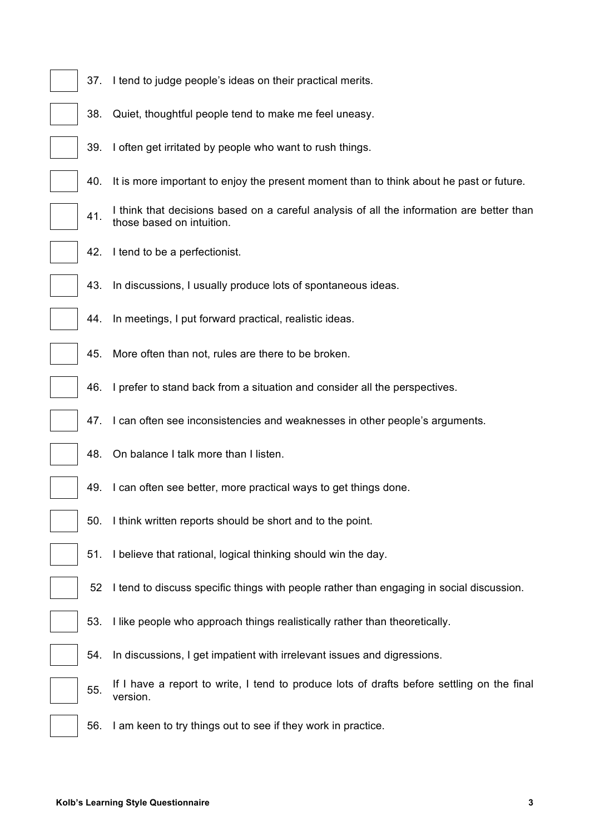| 37. | I tend to judge people's ideas on their practical merits.                                                              |  |  |  |  |  |
|-----|------------------------------------------------------------------------------------------------------------------------|--|--|--|--|--|
| 38. | Quiet, thoughtful people tend to make me feel uneasy.                                                                  |  |  |  |  |  |
| 39. | I often get irritated by people who want to rush things.                                                               |  |  |  |  |  |
| 40. | It is more important to enjoy the present moment than to think about he past or future.                                |  |  |  |  |  |
| 41. | I think that decisions based on a careful analysis of all the information are better than<br>those based on intuition. |  |  |  |  |  |
| 42. | I tend to be a perfectionist.                                                                                          |  |  |  |  |  |
| 43. | In discussions, I usually produce lots of spontaneous ideas.                                                           |  |  |  |  |  |
| 44. | In meetings, I put forward practical, realistic ideas.                                                                 |  |  |  |  |  |
| 45. | More often than not, rules are there to be broken.                                                                     |  |  |  |  |  |
| 46. | I prefer to stand back from a situation and consider all the perspectives.                                             |  |  |  |  |  |
| 47. | I can often see inconsistencies and weaknesses in other people's arguments.                                            |  |  |  |  |  |
| 48. | On balance I talk more than I listen.                                                                                  |  |  |  |  |  |
| 49. | I can often see better, more practical ways to get things done.                                                        |  |  |  |  |  |
| 50. | I think written reports should be short and to the point.                                                              |  |  |  |  |  |
| 51. | I believe that rational, logical thinking should win the day.                                                          |  |  |  |  |  |
| 52  | I tend to discuss specific things with people rather than engaging in social discussion.                               |  |  |  |  |  |
| 53. | I like people who approach things realistically rather than theoretically.                                             |  |  |  |  |  |
| 54. | In discussions, I get impatient with irrelevant issues and digressions.                                                |  |  |  |  |  |
| 55. | If I have a report to write, I tend to produce lots of drafts before settling on the final<br>version.                 |  |  |  |  |  |
| 56. | I am keen to try things out to see if they work in practice.                                                           |  |  |  |  |  |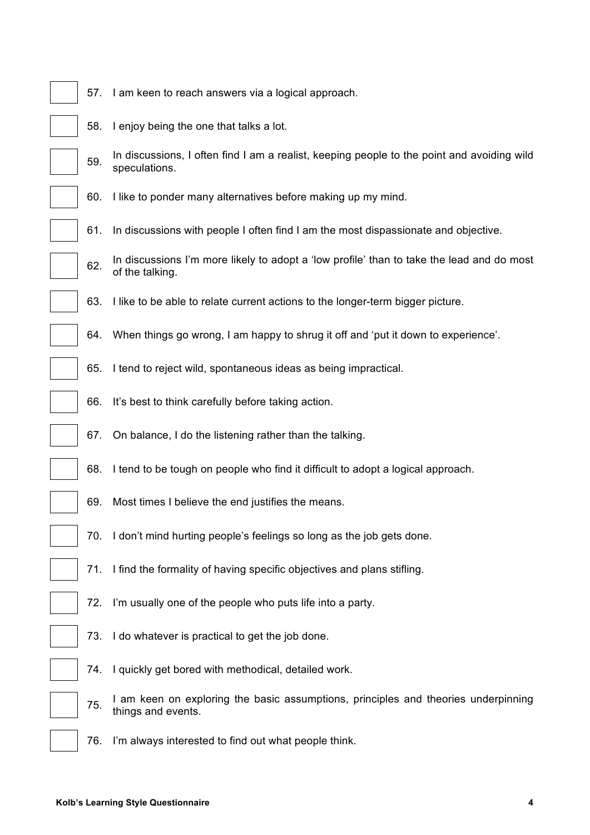|  |  |  | 57. I am keen to reach answers via a logical approach. |
|--|--|--|--------------------------------------------------------|
|  |  |  |                                                        |

- 58. I enjoy being the one that talks a lot.
- 59. In discussions, I often find I am a realist, keeping people to the point and avoiding wild speculations.
- 60. I like to ponder many alternatives before making up my mind.
- 61. In discussions with people I often find I am the most dispassionate and objective.
- 62. In discussions I'm more likely to adopt a 'low profile' than to take the lead and do most of the talking.
- 63. I like to be able to relate current actions to the longer-term bigger picture.
- 64. When things go wrong, I am happy to shrug it off and 'put it down to experience'.
- 65. I tend to reject wild, spontaneous ideas as being impractical.
- 66. It's best to think carefully before taking action.
- 67. On balance, I do the listening rather than the talking.
- 68. I tend to be tough on people who find it difficult to adopt a logical approach.
	- 69. Most times I believe the end justifies the means.
- 70. I don't mind hurting people's feelings so long as the job gets done.
- 71. I find the formality of having specific objectives and plans stifling.
- 72. I'm usually one of the people who puts life into a party.
- 73. I do whatever is practical to get the job done.
- 74. I quickly get bored with methodical, detailed work.
- 75. I am keen on exploring the basic assumptions, principles and theories underpinning things and events.
- 76. I'm always interested to find out what people think.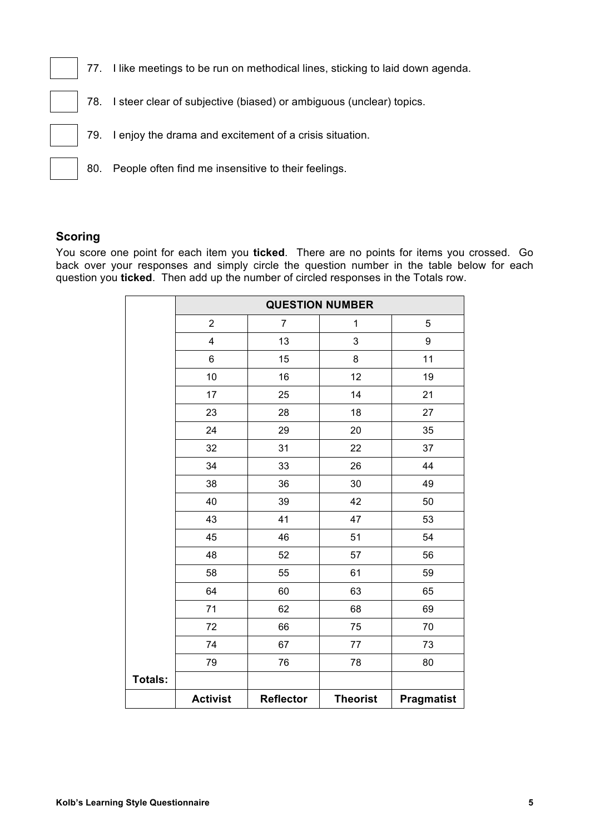- 77. I like meetings to be run on methodical lines, sticking to laid down agenda.
- 78. I steer clear of subjective (biased) or ambiguous (unclear) topics.
- 79. I enjoy the drama and excitement of a crisis situation.
- 80. People often find me insensitive to their feelings.

## **Scoring**

You score one point for each item you **ticked**. There are no points for items you crossed. Go back over your responses and simply circle the question number in the table below for each question you **ticked**. Then add up the number of circled responses in the Totals row.

|         | <b>QUESTION NUMBER</b> |                  |                 |                   |  |  |
|---------|------------------------|------------------|-----------------|-------------------|--|--|
|         | $\overline{c}$         | $\overline{7}$   | $\mathbf 1$     | 5                 |  |  |
|         | 4                      | 13               | 3               | 9                 |  |  |
|         | 6                      | 15               | 8               | 11                |  |  |
|         | 10                     | 16               | 12              | 19                |  |  |
|         | 17                     | 25               | 14              | 21                |  |  |
|         | 23                     | 28               | 18              | 27                |  |  |
|         | 24                     | 29               | 20              | 35                |  |  |
|         | 32                     | 31               | 22              | 37                |  |  |
|         | 34                     | 33               | 26              | 44                |  |  |
|         | 38                     | 36               | 30              | 49                |  |  |
|         | 40                     | 39               | 42              | 50                |  |  |
|         | 43                     | 41               | 47              | 53                |  |  |
|         | 45                     | 46               | 51              | 54                |  |  |
|         | 48                     | 52               | 57              | 56                |  |  |
|         | 58                     | 55               | 61              | 59                |  |  |
|         | 64                     | 60               | 63              | 65                |  |  |
|         | 71                     | 62               | 68              | 69                |  |  |
|         | 72                     | 66               | 75              | 70                |  |  |
|         | 74                     | 67               | 77              | 73                |  |  |
|         | 79                     | 76               | 78              | 80                |  |  |
| Totals: |                        |                  |                 |                   |  |  |
|         | <b>Activist</b>        | <b>Reflector</b> | <b>Theorist</b> | <b>Pragmatist</b> |  |  |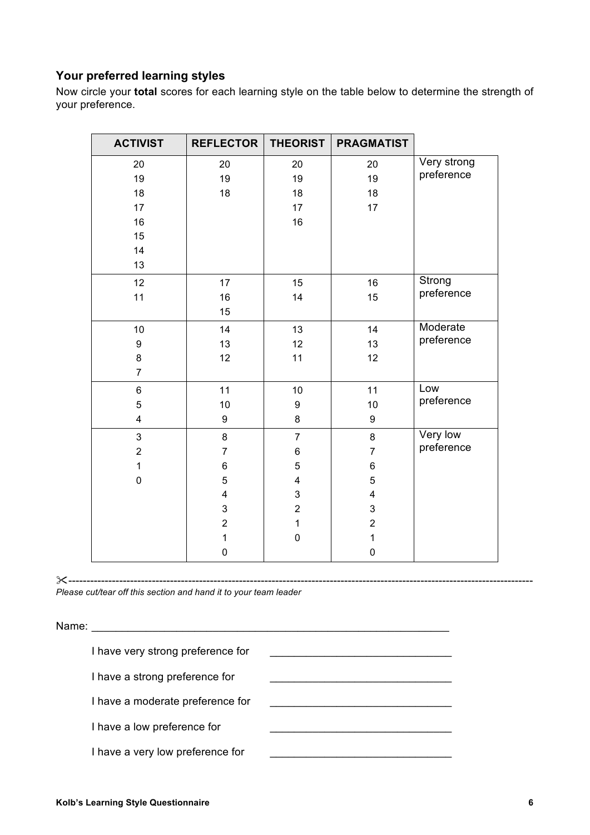## **Your preferred learning styles**

Now circle your **total** scores for each learning style on the table below to determine the strength of your preference.

| <b>ACTIVIST</b>         | <b>REFLECTOR</b>        | <b>THEORIST</b> | <b>PRAGMATIST</b>       |             |
|-------------------------|-------------------------|-----------------|-------------------------|-------------|
| 20                      | 20                      | 20              | 20                      | Very strong |
| 19                      | 19                      | 19              | 19                      | preference  |
| 18                      | 18                      | 18              | 18                      |             |
| 17                      |                         | 17              | 17                      |             |
| 16                      |                         | 16              |                         |             |
| 15                      |                         |                 |                         |             |
| 14                      |                         |                 |                         |             |
| 13                      |                         |                 |                         |             |
| 12                      | 17                      | 15              | 16                      | Strong      |
| 11                      | 16                      | 14              | 15                      | preference  |
|                         | 15                      |                 |                         |             |
| 10                      | 14                      | 13              | 14                      | Moderate    |
| 9                       | 13                      | 12              | 13                      | preference  |
| 8                       | 12                      | 11              | 12                      |             |
| $\overline{7}$          |                         |                 |                         |             |
| 6                       | 11                      | 10              | 11                      | Low         |
| 5                       | 10                      | 9               | 10                      | preference  |
| $\overline{\mathbf{4}}$ | 9                       | 8               | 9                       |             |
| 3                       | 8                       | $\overline{7}$  | 8                       | Very low    |
| $\overline{2}$          | $\overline{7}$          | 6               | $\overline{7}$          | preference  |
| $\mathbf{1}$            | $\,6$                   | 5               | 6                       |             |
| $\mathbf 0$             | 5                       | 4               | 5                       |             |
|                         | $\overline{\mathbf{4}}$ | 3               | $\overline{\mathbf{4}}$ |             |
|                         | 3                       | $\overline{2}$  | 3                       |             |
|                         | $\overline{2}$          | $\mathbf{1}$    | $\overline{2}$          |             |
|                         | $\mathbf 1$             | $\pmb{0}$       | $\mathbf{1}$            |             |
|                         | $\mathbf 0$             |                 | $\mathbf 0$             |             |

"--------------------------------------------------------------------------------------------------------------------------------

*Please cut/tear off this section and hand it to your team leader*

Name: 2008. 2010. 2010. 2010. 2010. 2010. 2010. 2010. 2010. 2010. 2010. 2010. 2010. 2010. 2010. 2010. 2010. 20<br>2010. 2010. 2010. 2010. 2010. 2010. 2010. 2010. 2010. 2010. 2010. 2010. 2010. 2010. 2010. 2010. 2010. 2010. 20 I have very strong preference for \_\_\_\_\_\_\_\_\_\_\_\_\_\_\_\_\_\_\_\_\_\_\_\_\_\_\_\_\_\_ I have a strong preference for \_\_\_\_\_\_\_\_\_\_\_\_\_\_\_\_\_\_\_\_\_\_\_\_\_\_\_\_\_\_ I have a moderate preference for I have a low preference for **with a low of the set of the set of the set of the set of the set of the set of the set of the set of the set of the set of the set of the set of the set of the set of the set of the set of the** I have a very low preference for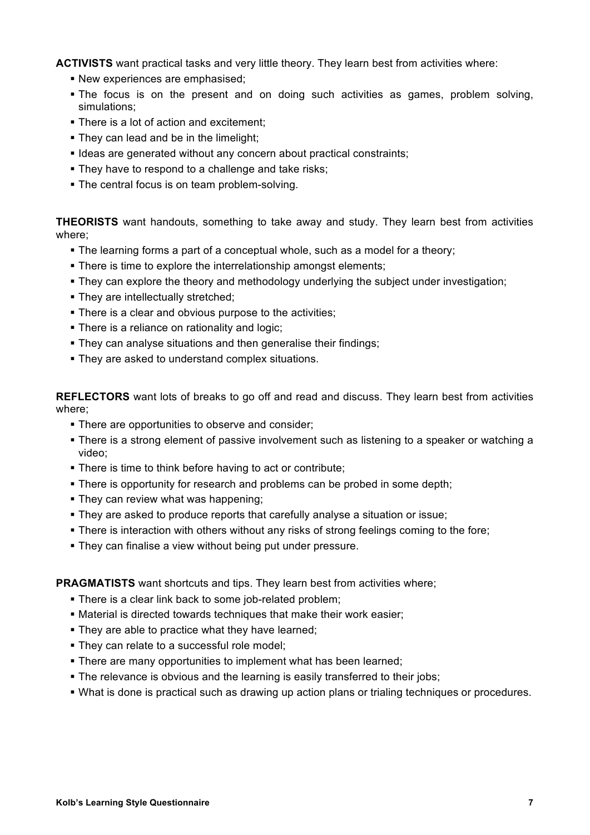**ACTIVISTS** want practical tasks and very little theory. They learn best from activities where:

- **New experiences are emphasised:**
- The focus is on the present and on doing such activities as games, problem solving, simulations;
- **There is a lot of action and excitement;**
- . They can lead and be in the limelight;
- **Example 2 ideas are generated without any concern about practical constraints;**
- **.** They have to respond to a challenge and take risks:
- The central focus is on team problem-solving.

**THEORISTS** want handouts, something to take away and study. They learn best from activities where;

- . The learning forms a part of a conceptual whole, such as a model for a theory;
- . There is time to explore the interrelationship amongst elements;
- **They can explore the theory and methodology underlying the subject under investigation:**
- . They are intellectually stretched;
- There is a clear and obvious purpose to the activities:
- There is a reliance on rationality and logic;
- **.** They can analyse situations and then generalise their findings;
- **They are asked to understand complex situations.**

**REFLECTORS** want lots of breaks to go off and read and discuss. They learn best from activities where;

- **There are opportunities to observe and consider;**
- . There is a strong element of passive involvement such as listening to a speaker or watching a video;
- . There is time to think before having to act or contribute;
- . There is opportunity for research and problems can be probed in some depth;
- $\blacksquare$  They can review what was happening;
- . They are asked to produce reports that carefully analyse a situation or issue;
- . There is interaction with others without any risks of strong feelings coming to the fore;
- **They can finalise a view without being put under pressure.**

**PRAGMATISTS** want shortcuts and tips. They learn best from activities where;

- . There is a clear link back to some job-related problem;
- Material is directed towards techniques that make their work easier:
- . They are able to practice what they have learned;
- . They can relate to a successful role model;
- **There are many opportunities to implement what has been learned:**
- . The relevance is obvious and the learning is easily transferred to their jobs;
- . What is done is practical such as drawing up action plans or trialing techniques or procedures.